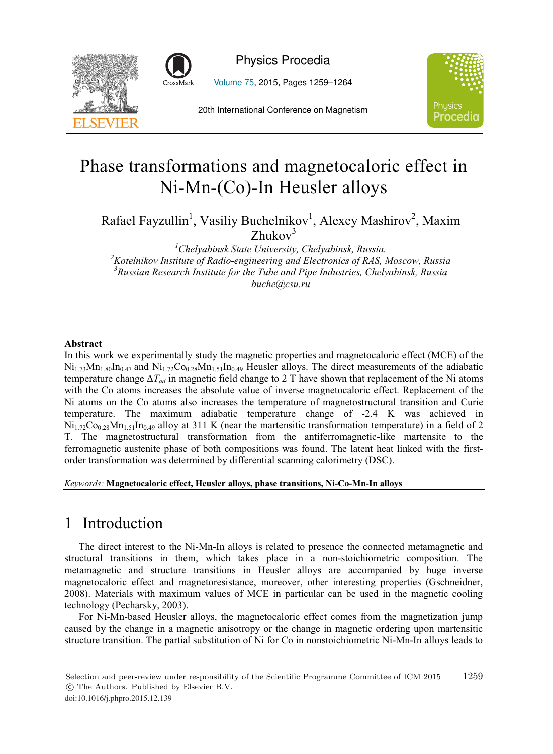



Physics Procedia

Volume 75, 2015, Pages 1259–1264



20th International Conference on Magnetism

# Phase transformations and magnetocaloric effect in Ni-Mn-(Co)-In Heusler alloys

Rafael Fayzullin<sup>1</sup>, Vasiliy Buchelnikov<sup>1</sup>, Alexey Mashirov<sup>2</sup>, Maxim  $Z$ hukov $3$ 

<sup>1</sup>Chelyabinsk State University, Chelyabinsk, Russia.<sup>2</sup> Kotelnikov Institute of Padio angineering and Electronics of PAS. <sup>2</sup> Kotelnikov Institute of Radio-engineering and Electronics of RAS, Moscow, Russia *Russian Research Institute for the Tube and Pipe Industries, Chelyabinsk, Russia buche@csu.ru*

### **Abstract**

In this work we experimentally study the magnetic properties and magnetocaloric effect (MCE) of the  $Ni_{1.73}Mn_{1.80}In_{0.47}$  and  $Ni_{1.72}Co_{0.28}Mn_{1.51}In_{0.49}$  Heusler alloys. The direct measurements of the adiabatic temperature change  $\Delta T_{ad}$  in magnetic field change to 2 T have shown that replacement of the Ni atoms with the Co atoms increases the absolute value of inverse magnetocaloric effect. Replacement of the Ni atoms on the Co atoms also increases the temperature of magnetostructural transition and Curie temperature. The maximum adiabatic temperature change of -2.4 K was achieved in  $\text{Ni}_{1.72}\text{Co}_{0.28}\text{Mn}_{1.51}\text{In}_{0.49}$  alloy at 311 K (near the martensitic transformation temperature) in a field of 2 T. The magnetostructural transformation from the antiferromagnetic-like martensite to the ferromagnetic austenite phase of both compositions was found. The latent heat linked with the firstorder transformation was determined by differential scanning calorimetry (DSC).

### *Keywords:* **Magnetocaloric effect, Heusler alloys, phase transitions, Ni-Co-Mn-In alloys**

# 1 Introduction

The direct interest to the Ni-Mn-In alloys is related to presence the connected metamagnetic and structural transitions in them, which takes place in a non-stoichiometric composition. The metamagnetic and structure transitions in Heusler alloys are accompanied by huge inverse magnetocaloric effect and magnetoresistance, moreover, other interesting properties (Gschneidner, 2008). Materials with maximum values of MCE in particular can be used in the magnetic cooling technology (Pecharsky, 2003).

For Ni-Mn-based Heusler alloys, the magnetocaloric effect comes from the magnetization jump caused by the change in a magnetic anisotropy or the change in magnetic ordering upon martensitic structure transition. The partial substitution of Ni for Co in nonstoichiometric Ni-Mn-In alloys leads to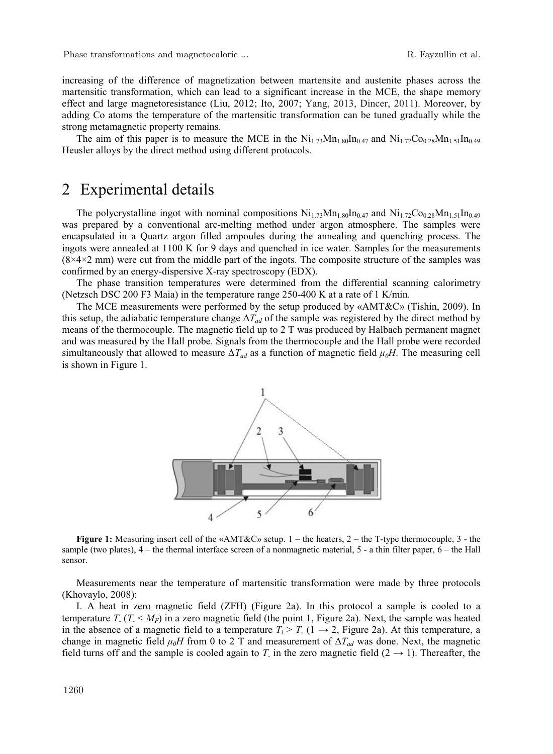increasing of the difference of magnetization between martensite and austenite phases across the martensitic transformation, which can lead to a significant increase in the MCE, the shape memory effect and large magnetoresistance (Liu, 2012; Ito, 2007; Yang, 2013, Dincer, 2011). Moreover, by adding Co atoms the temperature of the martensitic transformation can be tuned gradually while the strong metamagnetic property remains.

The aim of this paper is to measure the MCE in the  $Ni<sub>1.73</sub>Mn<sub>1.80</sub>In<sub>0.47</sub>$  and  $Ni<sub>1.72</sub>Co<sub>0.28</sub>Mn<sub>1.51</sub>In<sub>0.49</sub>$ Heusler alloys by the direct method using different protocols.

### 2 Experimental details

The polycrystalline ingot with nominal compositions  $Ni_{1.73}Mn_{1.80}In_{0.47}$  and  $Ni_{1.72}Co_{0.28}Mn_{1.51}In_{0.49}$ was prepared by a conventional arc-melting method under argon atmosphere. The samples were encapsulated in a Quartz argon filled ampoules during the annealing and quenching process. The ingots were annealed at 1100 K for 9 days and quenched in ice water. Samples for the measurements  $(8\times4\times2$  mm) were cut from the middle part of the ingots. The composite structure of the samples was confirmed by an energy-dispersive X-ray spectroscopy (EDX).

The phase transition temperatures were determined from the differential scanning calorimetry (Netzsch DSC 200 F3 Maia) in the temperature range 250-400 K at a rate of 1 K/min.

The MCE measurements were performed by the setup produced by «AMT&C» (Tishin, 2009). In this setup, the adiabatic temperature change  $\Delta T_{ad}$  of the sample was registered by the direct method by means of the thermocouple. The magnetic field up to 2 T was produced by Halbach permanent magnet and was measured by the Hall probe. Signals from the thermocouple and the Hall probe were recorded simultaneously that allowed to measure  $\Delta T_{ad}$  as a function of magnetic field  $\mu_0 H$ . The measuring cell is shown in Figure 1.



**Figure 1:** Measuring insert cell of the «AMT&C» setup. 1 – the heaters, 2 – the T-type thermocouple, 3 - the sample (two plates),  $4$  – the thermal interface screen of a nonmagnetic material,  $5$  - a thin filter paper,  $6$  – the Hall sensor.

Measurements near the temperature of martensitic transformation were made by three protocols (Khovaylo, 2008):

I. A heat in zero magnetic field (ZFH) (Figure 2a). In this protocol a sample is cooled to a temperature  $T_{-}(T_{-} < M_{F})$  in a zero magnetic field (the point 1, Figure 2a). Next, the sample was heated in the absence of a magnetic field to a temperature  $T_i > T_i$  ( $1 \rightarrow 2$ , Figure 2a). At this temperature, a change in magnetic field  $\mu_0H$  from 0 to 2 T and measurement of  $\Delta T_{ad}$  was done. Next, the magnetic field turns off and the sample is cooled again to *T*<sub>-</sub> in the zero magnetic field  $(2 \rightarrow 1)$ . Thereafter, the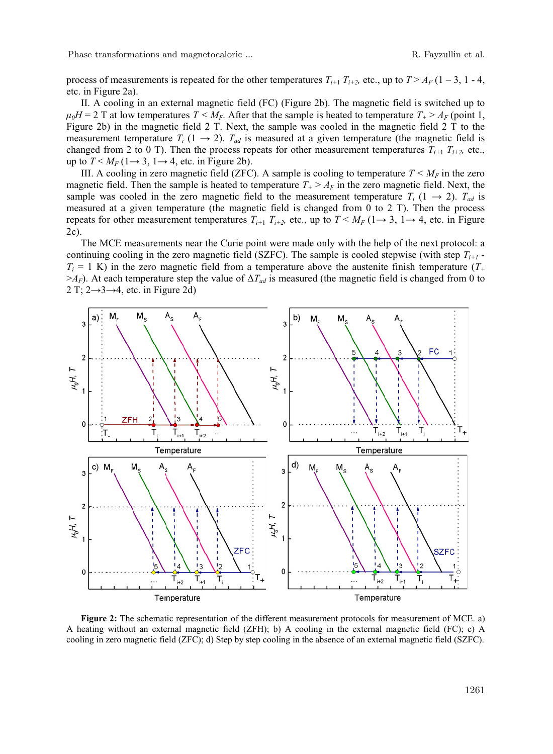Phase transformations and magnetocaloric ... The results of the R. Fayzullin et al.

process of measurements is repeated for the other temperatures  $T_{i+1}$ ,  $T_{i+2}$ , etc., up to  $T > A_F$  (1 – 3, 1 - 4, etc. in Figure 2a).

II. A cooling in an external magnetic field (FC) (Figure 2b). The magnetic field is switched up to  $\mu_0H = 2$  T at low temperatures  $T \leq M_F$ . After that the sample is heated to temperature  $T_+ \geq A_F$  (point 1, Figure 2b) in the magnetic field 2 T. Next, the sample was cooled in the magnetic field 2 T to the measurement temperature  $T_i$  (1  $\rightarrow$  2).  $T_{ad}$  is measured at a given temperature (the magnetic field is changed from 2 to 0 T). Then the process repeats for other measurement temperatures  $T_{i+1}$   $T_{i+2}$ , etc., up to  $T \le M_F$  (1  $\rightarrow$  3, 1  $\rightarrow$  4, etc. in Figure 2b).

III. A cooling in zero magnetic field (ZFC). A sample is cooling to temperature  $T < M_F$  in the zero magnetic field. Then the sample is heated to temperature  $T_{+} > A_{F}$  in the zero magnetic field. Next, the sample was cooled in the zero magnetic field to the measurement temperature  $T_i$  (1  $\rightarrow$  2).  $T_{ad}$  is measured at a given temperature (the magnetic field is changed from 0 to 2 T). Then the process repeats for other measurement temperatures  $T_{i+1}$   $T_{i+2}$ , etc., up to  $T \leq M_F$  (1  $\rightarrow$  3, 1  $\rightarrow$  4, etc. in Figure 2c).

The MCE measurements near the Curie point were made only with the help of the next protocol: a continuing cooling in the zero magnetic field (SZFC). The sample is cooled stepwise (with step  $T_{i+1}$  *-* $T_i = 1$  K) in the zero magnetic field from a temperature above the austenite finish temperature  $(T_+$  $>A_F$ ). At each temperature step the value of  $\Delta T_{ad}$  is measured (the magnetic field is changed from 0 to 2 T;  $2 \rightarrow 3 \rightarrow 4$ , etc. in Figure 2d)



**Figure 2:** The schematic representation of the different measurement protocols for measurement of MCE. a) A heating without an external magnetic field (ZFH); b) A cooling in the external magnetic field (FC); c) A cooling in zero magnetic field (ZFC); d) Step by step cooling in the absence of an external magnetic field (SZFC).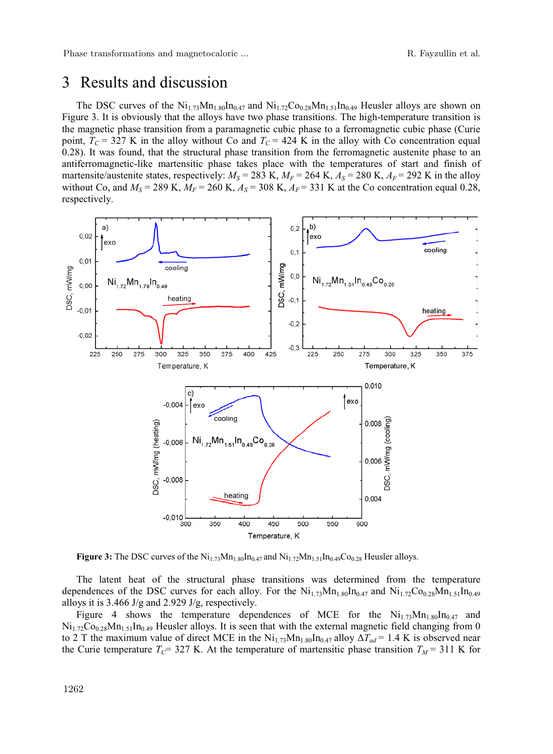# 3 Results and discussion

The DSC curves of the  $Ni_{1.73}Mn_{1.80}In_{0.47}$  and  $Ni_{1.72}Co_{0.28}Mn_{1.51}In_{0.49}$  Heusler alloys are shown on Figure 3. It is obviously that the alloys have two phase transitions. The high-temperature transition is the magnetic phase transition from a paramagnetic cubic phase to a ferromagnetic cubic phase (Curie point,  $T_c$  = 327 K in the alloy without Co and  $T_c$  = 424 K in the alloy with Co concentration equal 0.28). It was found, that the structural phase transition from the ferromagnetic austenite phase to an antiferromagnetic-like martensitic phase takes place with the temperatures of start and finish of martensite/austenite states, respectively:  $M_S = 283$  K,  $M_F = 264$  K,  $A_S = 280$  K,  $A_F = 292$  K in the alloy without Co, and  $M_s = 289$  K,  $M_F = 260$  K,  $A_s = 308$  K,  $A_F = 331$  K at the Co concentration equal 0.28, respectively.



**Figure 3:** The DSC curves of the  $\text{Ni}_{1.73}\text{Mn}_{1.80}\text{In}_{0.47}$  and  $\text{Ni}_{1.72}\text{Mn}_{1.51}\text{In}_{0.49}\text{Co}_{0.28}$  Heusler alloys.

The latent heat of the structural phase transitions was determined from the temperature dependences of the DSC curves for each alloy. For the  $Ni_{1.73}Mn_{1.80}In_{0.47}$  and  $Ni_{1.72}Co_{0.28}Mn_{1.51}In_{0.49}$ alloys it is 3.466 J/g and 2.929 J/g, respectively.

Figure 4 shows the temperature dependences of MCE for the  $Ni_{1.73}Mn_{1.80}In_{0.47}$  and  $Ni_{1.72}Co_{0.28}Mn_{1.51}In_{0.49}$  Heusler alloys. It is seen that with the external magnetic field changing from 0 to 2 T the maximum value of direct MCE in the  $Ni_{1.73}Mn_{1.80}In_{0.47}$  alloy  $\Delta T_{ad} = 1.4$  K is observed near the Curie temperature  $T_c$ = 327 K. At the temperature of martensitic phase transition  $T_M$  = 311 K for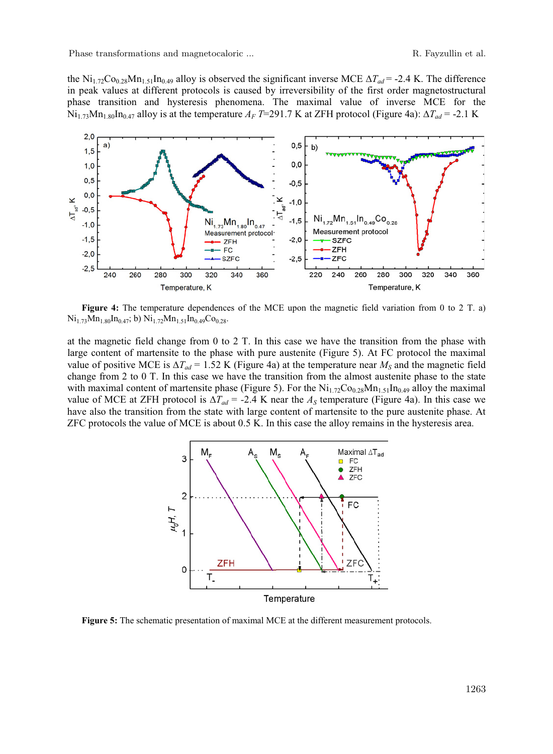the  $\text{Ni}_{1.72}\text{Co}_{0.28}\text{Mn}_{1.51}\text{In}_{0.49}$  alloy is observed the significant inverse MCE  $\Delta T_{ad}$  = -2.4 K. The difference in peak values at different protocols is caused by irreversibility of the first order magnetostructural phase transition and hysteresis phenomena. The maximal value of inverse MCE for the  $Ni_{1.73}Mn_{1.80}In_{0.47}$  alloy is at the temperature  $A_F$  *T*=291.7 K at ZFH protocol (Figure 4a):  $\Delta T_{ad}$  = -2.1 K



**Figure 4:** The temperature dependences of the MCE upon the magnetic field variation from 0 to 2 T. a)  $Ni<sub>1.73</sub>Mn<sub>1.80</sub>In<sub>0.47</sub>; b) Ni<sub>1.72</sub>Mn<sub>1.51</sub>In<sub>0.49</sub>Co<sub>0.28</sub>.$ 

at the magnetic field change from 0 to 2 T. In this case we have the transition from the phase with large content of martensite to the phase with pure austenite (Figure 5). At FC protocol the maximal value of positive MCE is  $\Delta T_{ad} = 1.52$  K (Figure 4a) at the temperature near  $M_S$  and the magnetic field change from 2 to 0 T. In this case we have the transition from the almost austenite phase to the state with maximal content of martensite phase (Figure 5). For the  $\text{Ni}_{1.72}\text{Co}_{0.28}\text{Mn}_{1.51}\text{In}_{0.49}$  alloy the maximal value of MCE at ZFH protocol is  $\Delta T_{ad} = -2.4$  K near the  $A_S$  temperature (Figure 4a). In this case we have also the transition from the state with large content of martensite to the pure austenite phase. At ZFC protocols the value of MCE is about 0.5 K. In this case the alloy remains in the hysteresis area.



**Figure 5:** The schematic presentation of maximal MCE at the different measurement protocols.